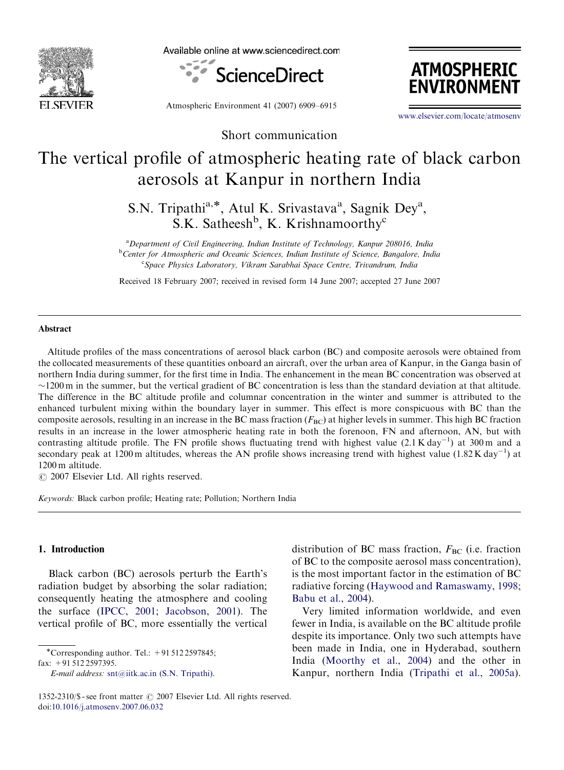

Available online at www.sciencedirect.com



Atmospheric Environment 41 (2007) 6909–6915

**ATMOSPHERIC ENVIRONMENT** 

<www.elsevier.com/locate/atmosenv>

Short communication

# The vertical profile of atmospheric heating rate of black carbon aerosols at Kanpur in northern India

S.N. Tripathi<sup>a,\*</sup>, Atul K. Srivastava<sup>a</sup>, Sagnik Dey<sup>a</sup>,  $S.K.$  Satheesh<sup>b</sup>, K. Krishnamoorthy<sup>c</sup>

<sup>a</sup> Department of Civil Engineering, Indian Institute of Technology, Kanpur 208016, India <sup>b</sup>Center for Atmospheric and Oceanic Sciences, Indian Institute of Science, Bangalore, India <sup>c</sup>Space Physics Laboratory, Vikram Sarabhai Space Centre, Trivandrum, India

Received 18 February 2007; received in revised form 14 June 2007; accepted 27 June 2007

#### Abstract

Altitude profiles of the mass concentrations of aerosol black carbon (BC) and composite aerosols were obtained from the collocated measurements of these quantities onboard an aircraft, over the urban area of Kanpur, in the Ganga basin of northern India during summer, for the first time in India. The enhancement in the mean BC concentration was observed at  $\sim$ 1200 m in the summer, but the vertical gradient of BC concentration is less than the standard deviation at that altitude. The difference in the BC altitude profile and columnar concentration in the winter and summer is attributed to the enhanced turbulent mixing within the boundary layer in summer. This effect is more conspicuous with BC than the composite aerosols, resulting in an increase in the BC mass fraction  $(F_{BC})$  at higher levels in summer. This high BC fraction results in an increase in the lower atmospheric heating rate in both the forenoon, FN and afternoon, AN, but with contrasting altitude profile. The FN profile shows fluctuating trend with highest value  $(2.1 \text{ K day}^{-1})$  at 300 m and a secondary peak at 1200 m altitudes, whereas the AN profile shows increasing trend with highest value  $(1.82 \text{ K day}^{-1})$  at 1200 m altitude.

 $O$  2007 Elsevier Ltd. All rights reserved.

Keywords: Black carbon profile; Heating rate; Pollution; Northern India

## 1. Introduction

Black carbon (BC) aerosols perturb the Earth's radiation budget by absorbing the solar radiation; consequently heating the atmosphere and cooling the surface ([IPCC, 2001;](#page-6-0) [Jacobson, 2001\)](#page-6-0). The vertical profile of BC, more essentially the vertical

-Corresponding author. Tel.: +91 512 2597845;

fax: +91 512 2597395.

E-mail address: [snt@iitk.ac.in \(S.N. Tripathi\).](mailto:snt@iitk.ac.in)

distribution of BC mass fraction,  $F_{BC}$  (i.e. fraction of BC to the composite aerosol mass concentration), is the most important factor in the estimation of BC radiative forcing ([Haywood and Ramaswamy, 1998](#page-6-0); [Babu et al., 2004](#page-6-0)).

Very limited information worldwide, and even fewer in India, is available on the BC altitude profile despite its importance. Only two such attempts have been made in India, one in Hyderabad, southern India [\(Moorthy et al., 2004](#page-6-0)) and the other in Kanpur, northern India ([Tripathi et al., 2005a](#page-6-0)).

<sup>1352-2310/\$ -</sup> see front matter  $\odot$  2007 Elsevier Ltd. All rights reserved. doi:[10.1016/j.atmosenv.2007.06.032](dx.doi.org/10.1016/j.atmosenv.2007.06.032)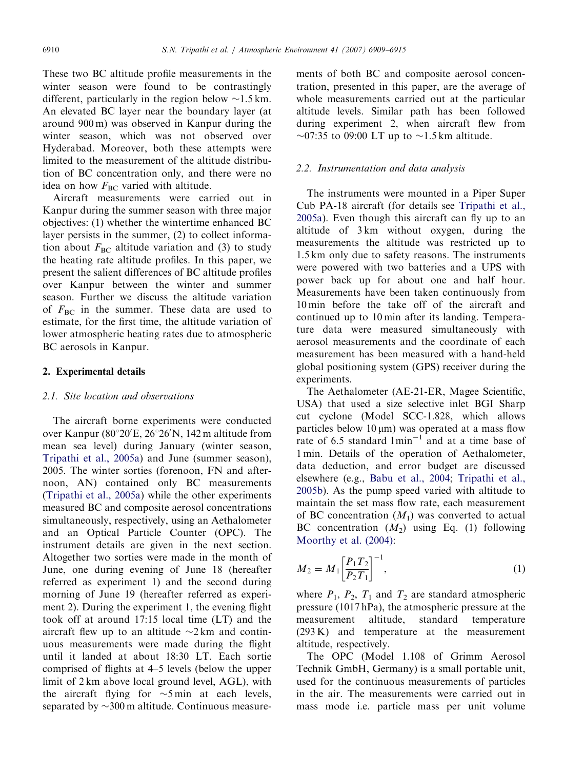These two BC altitude profile measurements in the winter season were found to be contrastingly different, particularly in the region below  $\sim$ 1.5 km. An elevated BC layer near the boundary layer (at around 900 m) was observed in Kanpur during the winter season, which was not observed over Hyderabad. Moreover, both these attempts were limited to the measurement of the altitude distribution of BC concentration only, and there were no idea on how  $F_{BC}$  varied with altitude.

Aircraft measurements were carried out in Kanpur during the summer season with three major objectives: (1) whether the wintertime enhanced BC layer persists in the summer, (2) to collect information about  $F_{BC}$  altitude variation and (3) to study the heating rate altitude profiles. In this paper, we present the salient differences of BC altitude profiles over Kanpur between the winter and summer season. Further we discuss the altitude variation of  $F_{BC}$  in the summer. These data are used to estimate, for the first time, the altitude variation of lower atmospheric heating rates due to atmospheric BC aerosols in Kanpur.

#### 2. Experimental details

# 2.1. Site location and observations

The aircraft borne experiments were conducted over Kanpur (80°20'E, 26°26'N, 142 m altitude from mean sea level) during January (winter season, [Tripathi et al., 2005a\)](#page-6-0) and June (summer season), 2005. The winter sorties (forenoon, FN and afternoon, AN) contained only BC measurements ([Tripathi et al., 2005a\)](#page-6-0) while the other experiments measured BC and composite aerosol concentrations simultaneously, respectively, using an Aethalometer and an Optical Particle Counter (OPC). The instrument details are given in the next section. Altogether two sorties were made in the month of June, one during evening of June 18 (hereafter referred as experiment 1) and the second during morning of June 19 (hereafter referred as experiment 2). During the experiment 1, the evening flight took off at around 17:15 local time (LT) and the aircraft flew up to an altitude  $\sim$ 2 km and continuous measurements were made during the flight until it landed at about 18:30 LT. Each sortie comprised of flights at 4–5 levels (below the upper limit of 2 km above local ground level, AGL), with the aircraft flying for  $\sim$ 5 min at each levels, separated by  $\sim$ 300 m altitude. Continuous measurements of both BC and composite aerosol concentration, presented in this paper, are the average of whole measurements carried out at the particular altitude levels. Similar path has been followed during experiment 2, when aircraft flew from  $\sim$ 07:35 to 09:00 LT up to  $\sim$ 1.5 km altitude.

#### 2.2. Instrumentation and data analysis

The instruments were mounted in a Piper Super Cub PA-18 aircraft (for details see [Tripathi et al.,](#page-6-0) [2005a](#page-6-0)). Even though this aircraft can fly up to an altitude of 3 km without oxygen, during the measurements the altitude was restricted up to 1.5 km only due to safety reasons. The instruments were powered with two batteries and a UPS with power back up for about one and half hour. Measurements have been taken continuously from 10 min before the take off of the aircraft and continued up to 10 min after its landing. Temperature data were measured simultaneously with aerosol measurements and the coordinate of each measurement has been measured with a hand-held global positioning system (GPS) receiver during the experiments.

The Aethalometer (AE-21-ER, Magee Scientific, USA) that used a size selective inlet BGI Sharp cut cyclone (Model SCC-1.828, which allows particles below  $10 \mu m$ ) was operated at a mass flow rate of 6.5 standard  $1$ min<sup>-1</sup> and at a time base of 1 min. Details of the operation of Aethalometer, data deduction, and error budget are discussed elsewhere (e.g., [Babu et al., 2004;](#page-6-0) [Tripathi et al.,](#page-6-0) [2005b\)](#page-6-0). As the pump speed varied with altitude to maintain the set mass flow rate, each measurement of BC concentration  $(M_1)$  was converted to actual BC concentration  $(M_2)$  using Eq. (1) following [Moorthy et al. \(2004\):](#page-6-0)

$$
M_2 = M_1 \left[ \frac{P_1 T_2}{P_2 T_1} \right]^{-1},\tag{1}
$$

where  $P_1$ ,  $P_2$ ,  $T_1$  and  $T_2$  are standard atmospheric pressure (1017 hPa), the atmospheric pressure at the measurement altitude, standard temperature (293 K) and temperature at the measurement altitude, respectively.

The OPC (Model 1.108 of Grimm Aerosol Technik GmbH, Germany) is a small portable unit, used for the continuous measurements of particles in the air. The measurements were carried out in mass mode i.e. particle mass per unit volume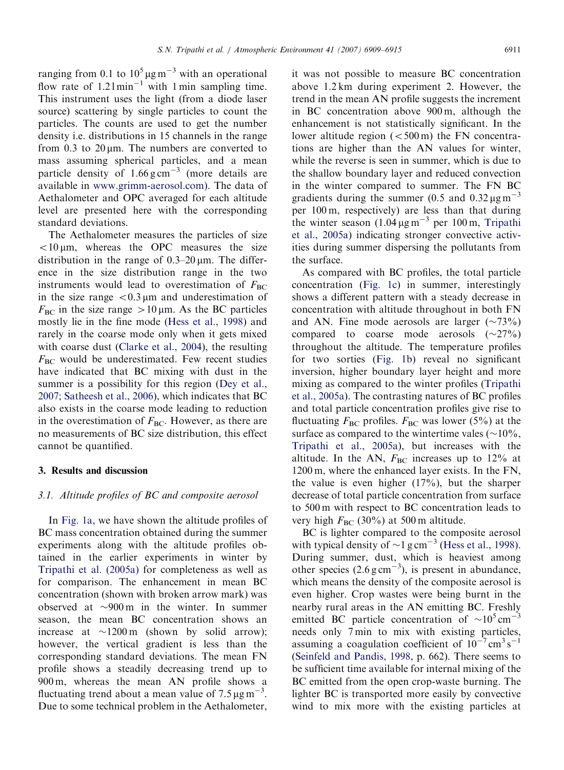ranging from 0.1 to  $10^5 \mu g m^{-3}$  with an operational flow rate of  $1.21$  min<sup>-1</sup> with 1 min sampling time. This instrument uses the light (from a diode laser source) scattering by single particles to count the particles. The counts are used to get the number density i.e. distributions in 15 channels in the range from  $0.3$  to  $20 \text{ µm}$ . The numbers are converted to mass assuming spherical particles, and a mean particle density of  $1.66 \text{ g cm}^{-3}$  (more details are available in [www.grimm-aerosol.com](http://www.grimm-aerosol.com)). The data of Aethalometer and OPC averaged for each altitude level are presented here with the corresponding standard deviations.

The Aethalometer measures the particles of size  $<$ 10  $\mu$ m, whereas the OPC measures the size distribution in the range of  $0.3-20 \,\mu m$ . The difference in the size distribution range in the two instruments would lead to overestimation of  $F_{BC}$ in the size range  $\langle 0.3 \mu \text{m} \rangle$  and underestimation of  $F_{BC}$  in the size range  $>10 \,\mu m$ . As the BC particles mostly lie in the fine mode [\(Hess et al., 1998\)](#page-6-0) and rarely in the coarse mode only when it gets mixed with coarse dust ([Clarke et al., 2004\)](#page-6-0), the resulting  $F_{BC}$  would be underestimated. Few recent studies have indicated that BC mixing with dust in the summer is a possibility for this region ([Dey et al.,](#page-6-0) [2007;](#page-6-0) [Satheesh et al., 2006](#page-6-0)), which indicates that BC also exists in the coarse mode leading to reduction in the overestimation of  $F_{BC}$ . However, as there are no measurements of BC size distribution, this effect cannot be quantified.

## 3. Results and discussion

## 3.1. Altitude profiles of BC and composite aerosol

In [Fig. 1a](#page-3-0), we have shown the altitude profiles of BC mass concentration obtained during the summer experiments along with the altitude profiles obtained in the earlier experiments in winter by [Tripathi et al. \(2005a\)](#page-6-0) for completeness as well as for comparison. The enhancement in mean BC concentration (shown with broken arrow mark) was observed at  $\sim$ 900 m in the winter. In summer season, the mean BC concentration shows an increase at  $\sim$ 1200 m (shown by solid arrow); however, the vertical gradient is less than the corresponding standard deviations. The mean FN profile shows a steadily decreasing trend up to 900 m, whereas the mean AN profile shows a fluctuating trend about a mean value of  $7.5 \,\mathrm{\mu g\,m}^{-3}$ . Due to some technical problem in the Aethalometer,

it was not possible to measure BC concentration above 1.2 km during experiment 2. However, the trend in the mean AN profile suggests the increment in BC concentration above 900 m, although the enhancement is not statistically significant. In the lower altitude region  $( $500 \text{ m}$ )$  the FN concentrations are higher than the AN values for winter, while the reverse is seen in summer, which is due to the shallow boundary layer and reduced convection in the winter compared to summer. The FN BC gradients during the summer (0.5 and  $0.32 \mu g m^{-3}$ ) per 100 m, respectively) are less than that during the winter season  $(1.04 \,\mathrm{µg\,m}^{-3}$  per 100 m, [Tripathi](#page-6-0) [et al., 2005a](#page-6-0)) indicating stronger convective activities during summer dispersing the pollutants from the surface.

As compared with BC profiles, the total particle concentration ([Fig. 1c](#page-3-0)) in summer, interestingly shows a different pattern with a steady decrease in concentration with altitude throughout in both FN and AN. Fine mode aerosols are larger  $(\sim 73\%)$ compared to coarse mode aerosols  $(\sim 27\%)$ throughout the altitude. The temperature profiles for two sorties [\(Fig. 1b](#page-3-0)) reveal no significant inversion, higher boundary layer height and more mixing as compared to the winter profiles ([Tripathi](#page-6-0) [et al., 2005a\)](#page-6-0). The contrasting natures of BC profiles and total particle concentration profiles give rise to fluctuating  $F_{BC}$  profiles.  $F_{BC}$  was lower (5%) at the surface as compared to the wintertime vales ( $\sim$ 10%, [Tripathi et al., 2005a](#page-6-0)), but increases with the altitude. In the AN,  $F_{BC}$  increases up to 12% at 1200 m, where the enhanced layer exists. In the FN, the value is even higher (17%), but the sharper decrease of total particle concentration from surface to 500 m with respect to BC concentration leads to very high  $F_{BC}$  (30%) at 500 m altitude.

BC is lighter compared to the composite aerosol with typical density of  $\sim$ 1 g cm<sup>-3</sup> [\(Hess et al., 1998](#page-6-0)). During summer, dust, which is heaviest among other species  $(2.6 \text{ g cm}^{-3})$ , is present in abundance, which means the density of the composite aerosol is even higher. Crop wastes were being burnt in the nearby rural areas in the AN emitting BC. Freshly emitted BC particle concentration of  $\sim 10^5 \text{ cm}^{-3}$ needs only 7 min to mix with existing particles, assuming a coagulation coefficient of  $10^{-7}$  cm<sup>3</sup> s<sup>-1</sup> [\(Seinfeld and Pandis, 1998](#page-6-0), p. 662). There seems to be sufficient time available for internal mixing of the BC emitted from the open crop-waste burning. The lighter BC is transported more easily by convective wind to mix more with the existing particles at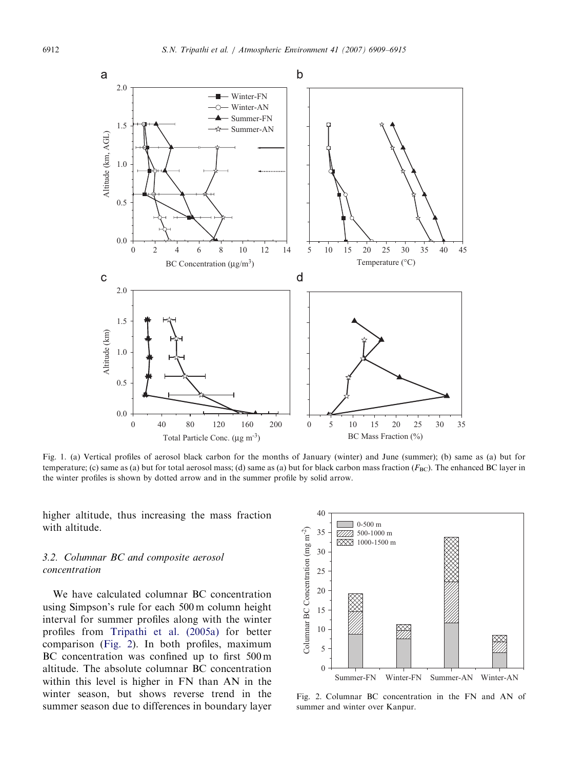<span id="page-3-0"></span>

Fig. 1. (a) Vertical profiles of aerosol black carbon for the months of January (winter) and June (summer); (b) same as (a) but for temperature; (c) same as (a) but for total aerosol mass; (d) same as (a) but for black carbon mass fraction ( $F_{BC}$ ). The enhanced BC layer in the winter profiles is shown by dotted arrow and in the summer profile by solid arrow.

higher altitude, thus increasing the mass fraction with altitude.

# 3.2. Columnar BC and composite aerosol concentration

We have calculated columnar BC concentration using Simpson's rule for each 500 m column height interval for summer profiles along with the winter profiles from [Tripathi et al. \(2005a\)](#page-6-0) for better comparison (Fig. 2). In both profiles, maximum BC concentration was confined up to first 500 m altitude. The absolute columnar BC concentration within this level is higher in FN than AN in the winter season, but shows reverse trend in the summer season due to differences in boundary layer



Fig. 2. Columnar BC concentration in the FN and AN of summer and winter over Kanpur.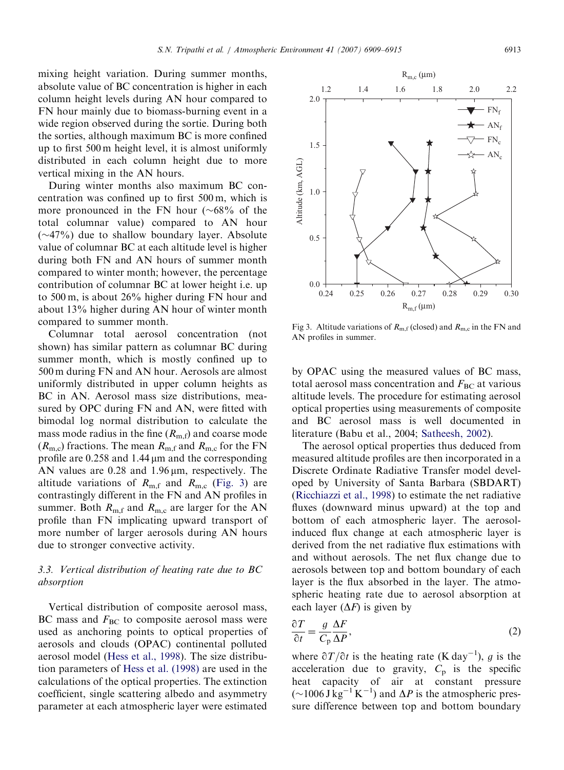mixing height variation. During summer months, absolute value of BC concentration is higher in each column height levels during AN hour compared to FN hour mainly due to biomass-burning event in a wide region observed during the sortie. During both the sorties, although maximum BC is more confined up to first 500 m height level, it is almost uniformly distributed in each column height due to more vertical mixing in the AN hours.

During winter months also maximum BC concentration was confined up to first 500 m, which is more pronounced in the FN hour  $(\sim 68\%$  of the total columnar value) compared to AN hour  $(\sim$ 47%) due to shallow boundary layer. Absolute value of columnar BC at each altitude level is higher during both FN and AN hours of summer month compared to winter month; however, the percentage contribution of columnar BC at lower height i.e. up to 500 m, is about 26% higher during FN hour and about 13% higher during AN hour of winter month compared to summer month.

Columnar total aerosol concentration (not shown) has similar pattern as columnar BC during summer month, which is mostly confined up to 500 m during FN and AN hour. Aerosols are almost uniformly distributed in upper column heights as BC in AN. Aerosol mass size distributions, measured by OPC during FN and AN, were fitted with bimodal log normal distribution to calculate the mass mode radius in the fine  $(R<sub>m,f</sub>)$  and coarse mode  $(R<sub>m,c</sub>)$  fractions. The mean  $R<sub>m,f</sub>$  and  $R<sub>m,c</sub>$  for the FN profile are  $0.258$  and  $1.44 \mu m$  and the corresponding AN values are 0.28 and 1.96  $\mu$ m, respectively. The altitude variations of  $R_{\text{m,f}}$  and  $R_{\text{m,c}}$  (Fig. 3) are contrastingly different in the FN and AN profiles in summer. Both  $R_{\text{m,f}}$  and  $R_{\text{m,c}}$  are larger for the AN profile than FN implicating upward transport of more number of larger aerosols during AN hours due to stronger convective activity.

# 3.3. Vertical distribution of heating rate due to BC absorption

Vertical distribution of composite aerosol mass, BC mass and  $F_{BC}$  to composite aerosol mass were used as anchoring points to optical properties of aerosols and clouds (OPAC) continental polluted aerosol model ([Hess et al., 1998](#page-6-0)). The size distribution parameters of [Hess et al. \(1998\)](#page-6-0) are used in the calculations of the optical properties. The extinction coefficient, single scattering albedo and asymmetry parameter at each atmospheric layer were estimated

Fig 3. Altitude variations of  $R_{m,f}$  (closed) and  $R_{m,c}$  in the FN and AN profiles in summer.

by OPAC using the measured values of BC mass, total aerosol mass concentration and  $F_{BC}$  at various altitude levels. The procedure for estimating aerosol optical properties using measurements of composite and BC aerosol mass is well documented in literature (Babu et al., 2004; [Satheesh, 2002](#page-6-0)).

The aerosol optical properties thus deduced from measured altitude profiles are then incorporated in a Discrete Ordinate Radiative Transfer model developed by University of Santa Barbara (SBDART) [\(Ricchiazzi et al., 1998](#page-6-0)) to estimate the net radiative fluxes (downward minus upward) at the top and bottom of each atmospheric layer. The aerosolinduced flux change at each atmospheric layer is derived from the net radiative flux estimations with and without aerosols. The net flux change due to aerosols between top and bottom boundary of each layer is the flux absorbed in the layer. The atmospheric heating rate due to aerosol absorption at each layer  $(\Delta F)$  is given by

$$
\frac{\partial T}{\partial t} = \frac{g}{C_p} \frac{\Delta F}{\Delta P},\tag{2}
$$

where  $\partial T/\partial t$  is the heating rate (K day<sup>-1</sup>), g is the acceleration due to gravity,  $C_p$  is the specific heat capacity of air at constant pressure  $(\sim 1006 \text{ J kg}^{-1} \text{ K}^{-1})$  and  $\Delta P$  is the atmospheric pressure difference between top and bottom boundary

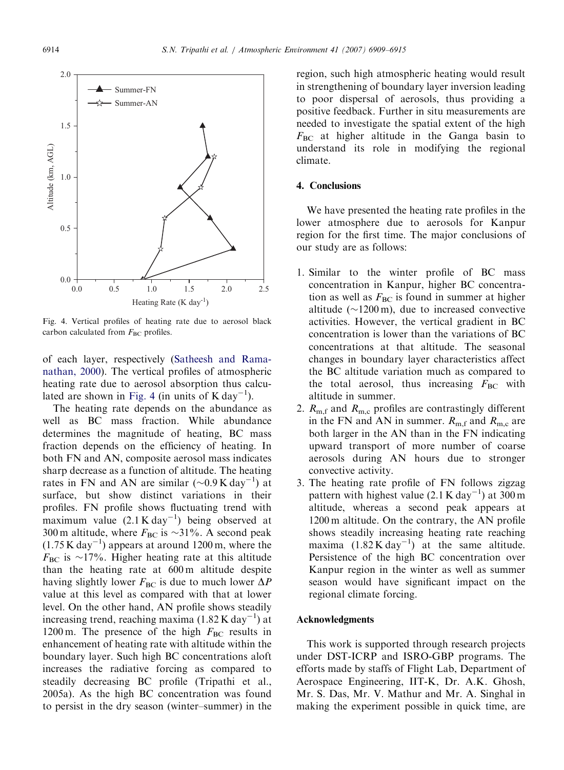

Fig. 4. Vertical profiles of heating rate due to aerosol black carbon calculated from  $F_{BC}$  profiles.

of each layer, respectively [\(Satheesh and Rama](#page-6-0)[nathan, 2000](#page-6-0)). The vertical profiles of atmospheric heating rate due to aerosol absorption thus calculated are shown in Fig. 4 (in units of  $K day^{-1}$ ).

The heating rate depends on the abundance as well as BC mass fraction. While abundance determines the magnitude of heating, BC mass fraction depends on the efficiency of heating. In both FN and AN, composite aerosol mass indicates sharp decrease as a function of altitude. The heating rates in FN and AN are similar  $(\sim 0.9 \text{ K day}^{-1})$  at surface, but show distinct variations in their profiles. FN profile shows fluctuating trend with maximum value  $(2.1 \text{ K day}^{-1})$  being observed at 300 m altitude, where  $F_{BC}$  is  $\sim$ 31%. A second peak  $(1.75 \text{ K day}^{-1})$  appears at around 1200 m, where the  $F_{BC}$  is ~17%. Higher heating rate at this altitude than the heating rate at 600 m altitude despite having slightly lower  $F_{BC}$  is due to much lower  $\Delta P$ value at this level as compared with that at lower level. On the other hand, AN profile shows steadily increasing trend, reaching maxima  $(1.82 \text{ K day}^{-1})$  at 1200 m. The presence of the high  $F_{BC}$  results in enhancement of heating rate with altitude within the boundary layer. Such high BC concentrations aloft increases the radiative forcing as compared to steadily decreasing BC profile (Tripathi et al., 2005a). As the high BC concentration was found to persist in the dry season (winter–summer) in the region, such high atmospheric heating would result in strengthening of boundary layer inversion leading to poor dispersal of aerosols, thus providing a positive feedback. Further in situ measurements are needed to investigate the spatial extent of the high  $F_{BC}$  at higher altitude in the Ganga basin to understand its role in modifying the regional climate.

#### 4. Conclusions

We have presented the heating rate profiles in the lower atmosphere due to aerosols for Kanpur region for the first time. The major conclusions of our study are as follows:

- 1. Similar to the winter profile of BC mass concentration in Kanpur, higher BC concentration as well as  $F_{BC}$  is found in summer at higher altitude ( $\sim$ 1200 m), due to increased convective activities. However, the vertical gradient in BC concentration is lower than the variations of BC concentrations at that altitude. The seasonal changes in boundary layer characteristics affect the BC altitude variation much as compared to the total aerosol, thus increasing  $F_{BC}$  with altitude in summer.
- 2.  $R_{\text{m,f}}$  and  $R_{\text{m,c}}$  profiles are contrastingly different in the FN and AN in summer.  $R_{\text{m,f}}$  and  $R_{\text{m,c}}$  are both larger in the AN than in the FN indicating upward transport of more number of coarse aerosols during AN hours due to stronger convective activity.
- 3. The heating rate profile of FN follows zigzag pattern with highest value  $(2.1 \text{ K day}^{-1})$  at 300 m altitude, whereas a second peak appears at 1200 m altitude. On the contrary, the AN profile shows steadily increasing heating rate reaching maxima  $(1.82 \text{ K day}^{-1})$  at the same altitude. Persistence of the high BC concentration over Kanpur region in the winter as well as summer season would have significant impact on the regional climate forcing.

#### Acknowledgments

This work is supported through research projects under DST-ICRP and ISRO-GBP programs. The efforts made by staffs of Flight Lab, Department of Aerospace Engineering, IIT-K, Dr. A.K. Ghosh, Mr. S. Das, Mr. V. Mathur and Mr. A. Singhal in making the experiment possible in quick time, are